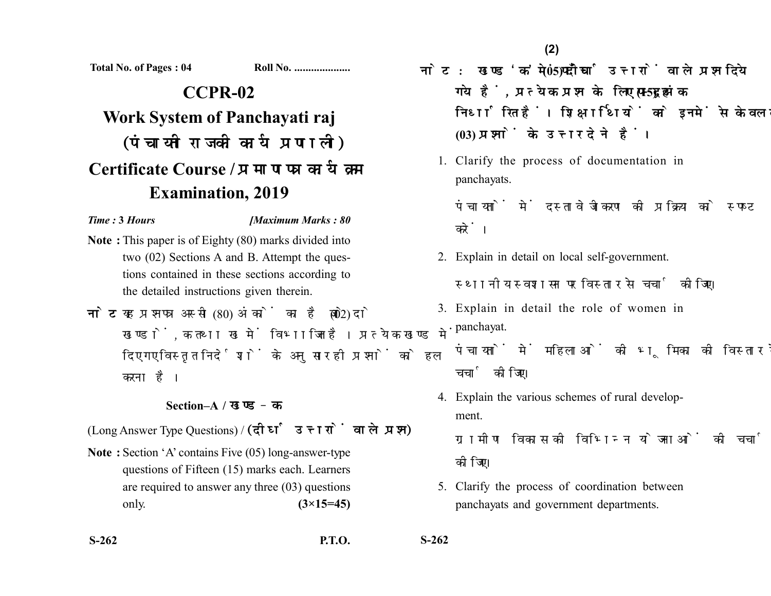**Total No. of Pages : 04 Roll No. ....................**

## **CCPR-02 Work System of Panchayati raj** (पंचायती राज की कार्य प्रणाली) **Certificate Course / Examination, 2019**

## *Time :* **3** *Hours [Maximum Marks : 80*

- **Note :** This paper is of Eighty (80) marks divided into two (02) Sections A and B. Attempt the questions contained in these sections according to the detailed instructions given therein.
- नोट: यह प्रश्नपत्र अस्सी (80) अंकों का है जो दो (02) खण्डों. क तथा ख में विभाजित है। प्रत्येक खण्ड में दिए गए विस्तृत निर्देशों के अनुसार ही प्रश्नों को हल करना है।

## **Section–A /**

(Long Answer Type Questions) / (दीर्घ उत्तरों वाले प्रश्न)

**Note :** Section 'A' contains Five (05) long-answer-type questions of Fifteen (15) marks each. Learners are required to answer any three (03) questions only. **(3×15=45)**

- नोट: खण्ड 'क' में पाँच (05) दीर्घ उत्तरों वाले प्रश्न दिये गये हैं, प्रत्येक प्रश्न के लिए पन्दह (15) अंक निर्धारित हैं। शिक्षार्थियों को इनमें से केवल तीन **(03) प्रश्नों के उत्तर देने हैं।** 
	- 1. Clarify the process of documentation in panchayats.

पंचायतों में दस्तावेजीकरण की प्रक्रिया को स्पष्ट करें।

- 2. Explain in detail on local self-government. स्थानीय स्वशासन पर विस्तार से चर्चा कीजिए।
- 3. Explain in detail the role of women in panchayat. पंचायतों में महिलाओं की भूमिका की विस्तार से चर्चा कीजिए।
- 4. Explain the various schemes of rural development.

ग्रामीण विकास की विभिन्न योजनाओं की चर्चा कोजिए।

5. Clarify the process of coordination between panchayats and government departments.